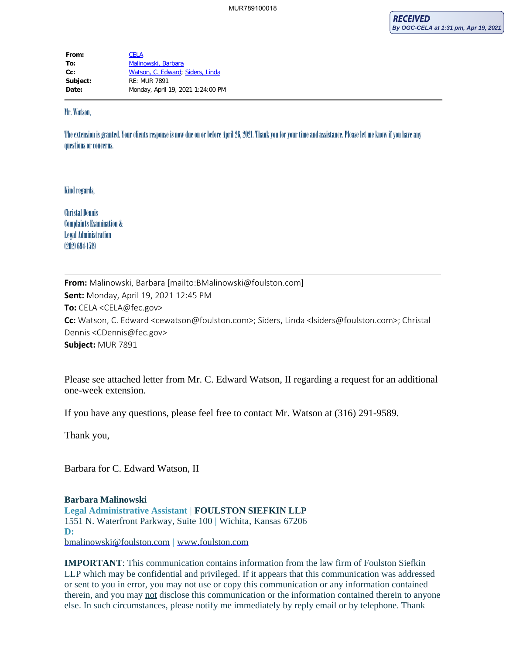| From:    | <b>CELA</b>                       |
|----------|-----------------------------------|
| To:      | Malinowski, Barbara               |
| $Cc$ :   | Watson, C. Edward; Siders, Linda  |
| Subject: | $RF: MUR$ 7891                    |
| Date:    | Monday, April 19, 2021 1:24:00 PM |

## Mr. Watson,

The extension is granted. Your clients response is now due on or before April 26, 2021. Thank you for your time and assistance. Please let me know if you have any questions or concerns.

## Kind regards,

Christal Dennis Complaints Examination & Legal Administration (202) 694-1519

**From:** Malinowski, Barbara [mailto:BMalinowski@foulston.com] **Sent:** Monday, April 19, 2021 12:45 PM **To:** CELA <CELA@fec.gov> **Cc:** Watson, C. Edward <cewatson@foulston.com>; Siders, Linda <lsiders@foulston.com>; Christal Dennis <CDennis@fec.gov> **Subject:** MUR 7891

Please see attached letter from Mr. C. Edward Watson, II regarding a request for an additional one-week extension.

If you have any questions, please feel free to contact Mr. Watson at (316) 291-9589.

Thank you,

Barbara for C. Edward Watson, II

## **Barbara Malinowski Legal Administrative Assistant** | **FOULSTON SIEFKIN LLP**

1551 N. Waterfront Parkway, Suite 100 | Wichita, Kansas 67206 **D:** [bmalinowski@foulston.com](mailto:BMalinowski@foulston.com) | [www.foulston.com](https://gcc02.safelinks.protection.outlook.com/?url=https%3A%2F%2Fwww.foulston.com%2F&data=04%7C01%7Ccela%40fec.gov%7C3b7016cb1fa04d09984e08d903528251%7Cee91fa706c9d45e0bb084a355de91010%7C0%7C0%7C637544475246049897%7CUnknown%7CTWFpbGZsb3d8eyJWIjoiMC4wLjAwMDAiLCJQIjoiV2luMzIiLCJBTiI6Ik1haWwiLCJXVCI6Mn0%3D%7C1000&sdata=6GE2mh4PH8iUQ8TMmNywAJgUAKlr%2By5P6wP7WTjRpFE%3D&reserved=0)

**IMPORTANT**: This communication contains information from the law firm of Foulston Siefkin LLP which may be confidential and privileged. If it appears that this communication was addressed or sent to you in error, you may not use or copy this communication or any information contained therein, and you may not disclose this communication or the information contained therein to anyone else. In such circumstances, please notify me immediately by reply email or by telephone. Thank